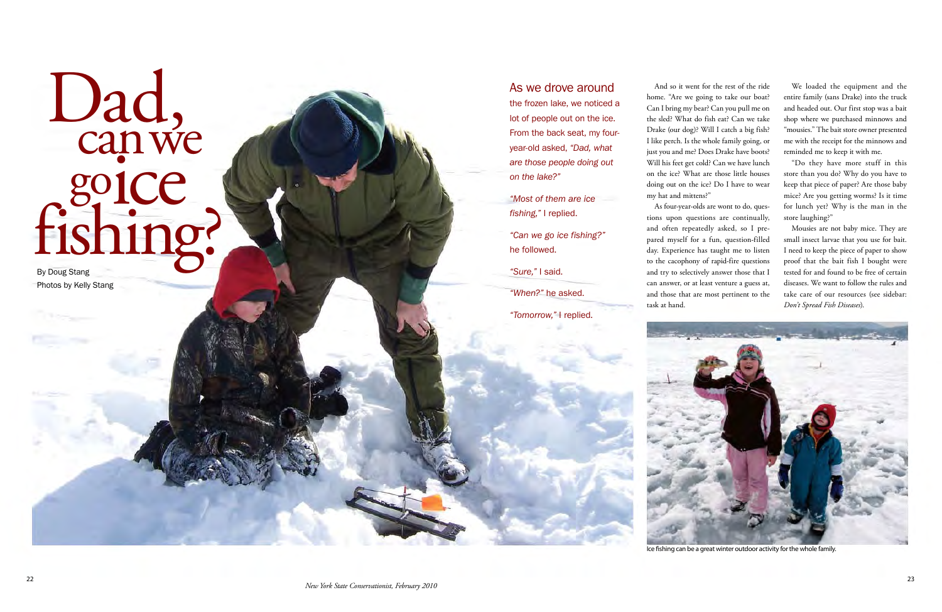# Dad, can we goice<br>fishing? By Doug Stang

Photos by Kelly Stang

## As we drove around

 the frozen lake, we noticed a lot of people out on the ice.  *are those people doing out*  From the back seat, my fouryear-old asked, *"Dad, what on the lake?"*

*"Most of them are ice fishing,"* I replied.

*"Can we go ice fishing?"*  he followed.

 home. "Are we going to take our boat? Drake (our dog)? Will I catch a big fish? I like perch. Is the whole family going, or Will his feet get cold? Can we have lunch on the ice? What are those little houses my hat and mittens?" And so it went for the rest of the ride Can I bring my bear? Can you pull me on the sled? What do fish eat? Can we take just you and me? Does Drake have boots? doing out on the ice? Do I have to wear

*"Sure,"* I said.

*"When?"* he asked.

*"Tomorrow,"* I replied.

 tions upon questions are continually, to the cacophony of rapid-fire questions can answer, or at least venture a guess at, and those that are most pertinent to the As four-year-olds are wont to do, quesand often repeatedly asked, so I prepared myself for a fun, question-filled day. Experience has taught me to listen and try to selectively answer those that I

 We loaded the equipment and the entire family (sans Drake) into the truck and headed out. Our first stop was a bait shop where we purchased minnows and "mousies." The bait store owner presented me with the receipt for the minnows and reminded me to keep it with me.

 "Do they have more stuff in this for lunch yet? Why is the man in the store than you do? Why do you have to keep that piece of paper? Are those baby mice? Are you getting worms? Is it time store laughing?"

 Mousies are not baby mice. They are I need to keep the piece of paper to show proof that the bait fish I bought were diseases. We want to follow the rules and take care of our resources (see sidebar: small insect larvae that you use for bait. tested for and found to be free of certain *Don't Spread Fish Diseases*).

task at hand.



Ice fshing can be a great winter outdoor activity for the whole family.